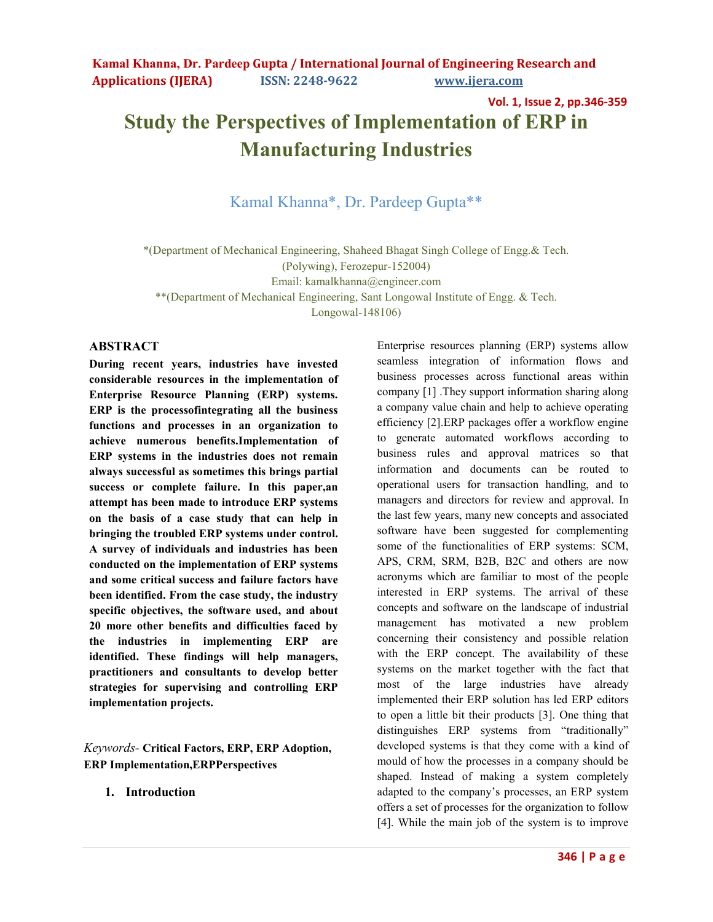**Vol. 1, Issue 2, pp.346-359**

# **Study the Perspectives of Implementation of ERP in Manufacturing Industries**

# Kamal Khanna\*, Dr. Pardeep Gupta\*\*

\*(Department of Mechanical Engineering, Shaheed Bhagat Singh College of Engg.& Tech.

(Polywing), Ferozepur-152004)

Email: kamalkhanna@engineer.com

\*\*(Department of Mechanical Engineering, Sant Longowal Institute of Engg. & Tech.

Longowal-148106)

#### **ABSTRACT**

**During recent years, industries have invested considerable resources in the implementation of Enterprise Resource Planning (ERP) systems. ERP is the processofintegrating all the business functions and processes in an organization to achieve numerous benefits.Implementation of ERP systems in the industries does not remain always successful as sometimes this brings partial success or complete failure. In this paper,an attempt has been made to introduce ERP systems on the basis of a case study that can help in bringing the troubled ERP systems under control. A survey of individuals and industries has been conducted on the implementation of ERP systems and some critical success and failure factors have been identified. From the case study, the industry specific objectives, the software used, and about 20 more other benefits and difficulties faced by the industries in implementing ERP are identified. These findings will help managers, practitioners and consultants to develop better strategies for supervising and controlling ERP implementation projects.** 

*Keywords-* **Critical Factors, ERP, ERP Adoption, ERP Implementation,ERPPerspectives** 

**1. Introduction** 

Enterprise resources planning (ERP) systems allow seamless integration of information flows and business processes across functional areas within company [1] .They support information sharing along a company value chain and help to achieve operating efficiency [2].ERP packages offer a workflow engine to generate automated workflows according to business rules and approval matrices so that information and documents can be routed to operational users for transaction handling, and to managers and directors for review and approval. In the last few years, many new concepts and associated software have been suggested for complementing some of the functionalities of ERP systems: SCM, APS, CRM, SRM, B2B, B2C and others are now acronyms which are familiar to most of the people interested in ERP systems. The arrival of these concepts and software on the landscape of industrial management has motivated a new problem concerning their consistency and possible relation with the ERP concept. The availability of these systems on the market together with the fact that most of the large industries have already implemented their ERP solution has led ERP editors to open a little bit their products [3]. One thing that distinguishes ERP systems from "traditionally" developed systems is that they come with a kind of mould of how the processes in a company should be shaped. Instead of making a system completely adapted to the company's processes, an ERP system offers a set of processes for the organization to follow [4]. While the main job of the system is to improve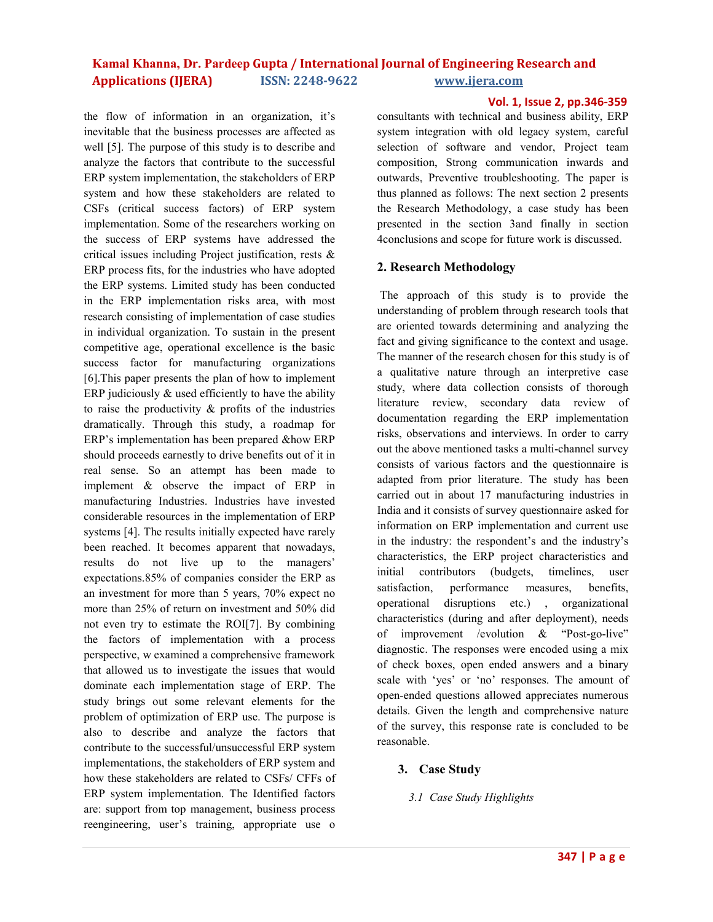the flow of information in an organization, it's inevitable that the business processes are affected as well [5]. The purpose of this study is to describe and analyze the factors that contribute to the successful ERP system implementation, the stakeholders of ERP system and how these stakeholders are related to CSFs (critical success factors) of ERP system implementation. Some of the researchers working on the success of ERP systems have addressed the critical issues including Project justification, rests & ERP process fits, for the industries who have adopted the ERP systems. Limited study has been conducted in the ERP implementation risks area, with most research consisting of implementation of case studies in individual organization. To sustain in the present competitive age, operational excellence is the basic success factor for manufacturing organizations [6].This paper presents the plan of how to implement ERP judiciously  $\&$  used efficiently to have the ability to raise the productivity & profits of the industries dramatically. Through this study, a roadmap for ERP's implementation has been prepared &how ERP should proceeds earnestly to drive benefits out of it in real sense. So an attempt has been made to implement & observe the impact of ERP in manufacturing Industries. Industries have invested considerable resources in the implementation of ERP systems [4]. The results initially expected have rarely been reached. It becomes apparent that nowadays, results do not live up to the managers' expectations.85% of companies consider the ERP as an investment for more than 5 years, 70% expect no more than 25% of return on investment and 50% did not even try to estimate the ROI[7]. By combining the factors of implementation with a process perspective, w examined a comprehensive framework that allowed us to investigate the issues that would dominate each implementation stage of ERP. The study brings out some relevant elements for the problem of optimization of ERP use. The purpose is also to describe and analyze the factors that contribute to the successful/unsuccessful ERP system implementations, the stakeholders of ERP system and how these stakeholders are related to CSFs/ CFFs of ERP system implementation. The Identified factors are: support from top management, business process reengineering, user's training, appropriate use o

#### **Vol. 1, Issue 2, pp.346-359**

consultants with technical and business ability, ERP system integration with old legacy system, careful selection of software and vendor, Project team composition, Strong communication inwards and outwards, Preventive troubleshooting. The paper is thus planned as follows: The next section 2 presents the Research Methodology, a case study has been presented in the section 3and finally in section 4conclusions and scope for future work is discussed.

#### **2. Research Methodology**

 The approach of this study is to provide the understanding of problem through research tools that are oriented towards determining and analyzing the fact and giving significance to the context and usage. The manner of the research chosen for this study is of a qualitative nature through an interpretive case study, where data collection consists of thorough literature review, secondary data review of documentation regarding the ERP implementation risks, observations and interviews. In order to carry out the above mentioned tasks a multi-channel survey consists of various factors and the questionnaire is adapted from prior literature. The study has been carried out in about 17 manufacturing industries in India and it consists of survey questionnaire asked for information on ERP implementation and current use in the industry: the respondent's and the industry's characteristics, the ERP project characteristics and initial contributors (budgets, timelines, user satisfaction, performance measures, benefits, operational disruptions etc.) , organizational characteristics (during and after deployment), needs of improvement /evolution & "Post-go-live" diagnostic. The responses were encoded using a mix of check boxes, open ended answers and a binary scale with 'yes' or 'no' responses. The amount of open-ended questions allowed appreciates numerous details. Given the length and comprehensive nature of the survey, this response rate is concluded to be reasonable.

#### **3. Case Study**

*3.1 Case Study Highlights*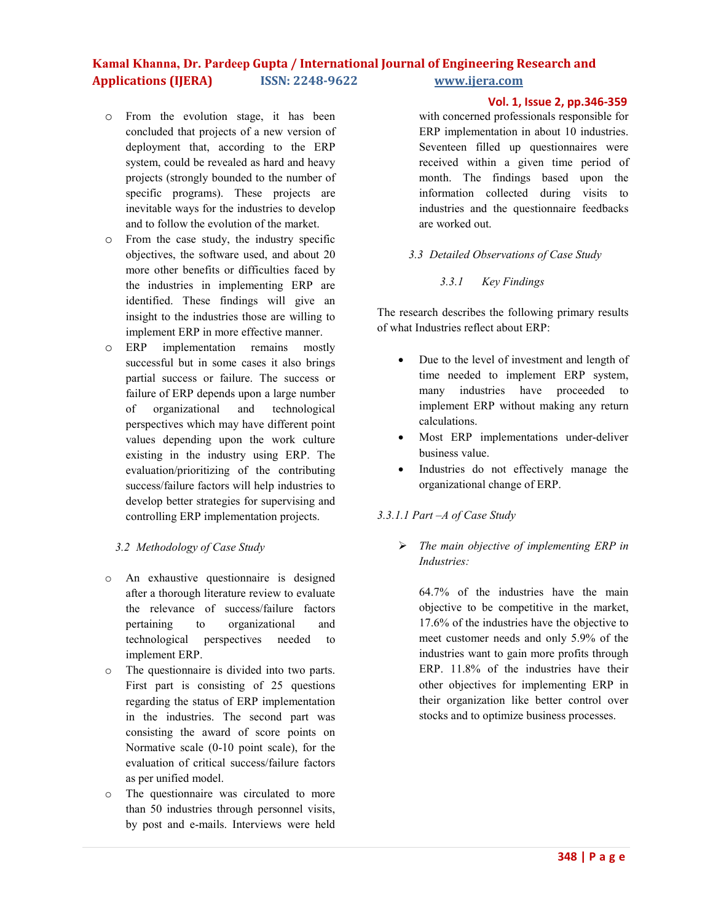- o From the evolution stage, it has been concluded that projects of a new version of deployment that, according to the ERP system, could be revealed as hard and heavy projects (strongly bounded to the number of specific programs). These projects are inevitable ways for the industries to develop and to follow the evolution of the market.
- o From the case study, the industry specific objectives, the software used, and about 20 more other benefits or difficulties faced by the industries in implementing ERP are identified. These findings will give an insight to the industries those are willing to implement ERP in more effective manner.
- o ERP implementation remains mostly successful but in some cases it also brings partial success or failure. The success or failure of ERP depends upon a large number of organizational and technological perspectives which may have different point values depending upon the work culture existing in the industry using ERP. The evaluation/prioritizing of the contributing success/failure factors will help industries to develop better strategies for supervising and controlling ERP implementation projects.

### *3.2 Methodology of Case Study*

- o An exhaustive questionnaire is designed after a thorough literature review to evaluate the relevance of success/failure factors pertaining to organizational and technological perspectives needed to implement ERP.
- o The questionnaire is divided into two parts. First part is consisting of 25 questions regarding the status of ERP implementation in the industries. The second part was consisting the award of score points on Normative scale (0-10 point scale), for the evaluation of critical success/failure factors as per unified model.
- o The questionnaire was circulated to more than 50 industries through personnel visits, by post and e-mails. Interviews were held

# **Vol. 1, Issue 2, pp.346-359**

with concerned professionals responsible for ERP implementation in about 10 industries. Seventeen filled up questionnaires were received within a given time period of month. The findings based upon the information collected during visits to industries and the questionnaire feedbacks are worked out.

# *3.3 Detailed Observations of Case Study*

# *3.3.1 Key Findings*

The research describes the following primary results of what Industries reflect about ERP:

- Due to the level of investment and length of time needed to implement ERP system, many industries have proceeded to implement ERP without making any return calculations.
- Most ERP implementations under-deliver business value.
- Industries do not effectively manage the organizational change of ERP.

### *3.3.1.1 Part –A of Case Study*

Ø *The main objective of implementing ERP in Industries:* 

64.7% of the industries have the main objective to be competitive in the market, 17.6% of the industries have the objective to meet customer needs and only 5.9% of the industries want to gain more profits through ERP. 11.8% of the industries have their other objectives for implementing ERP in their organization like better control over stocks and to optimize business processes.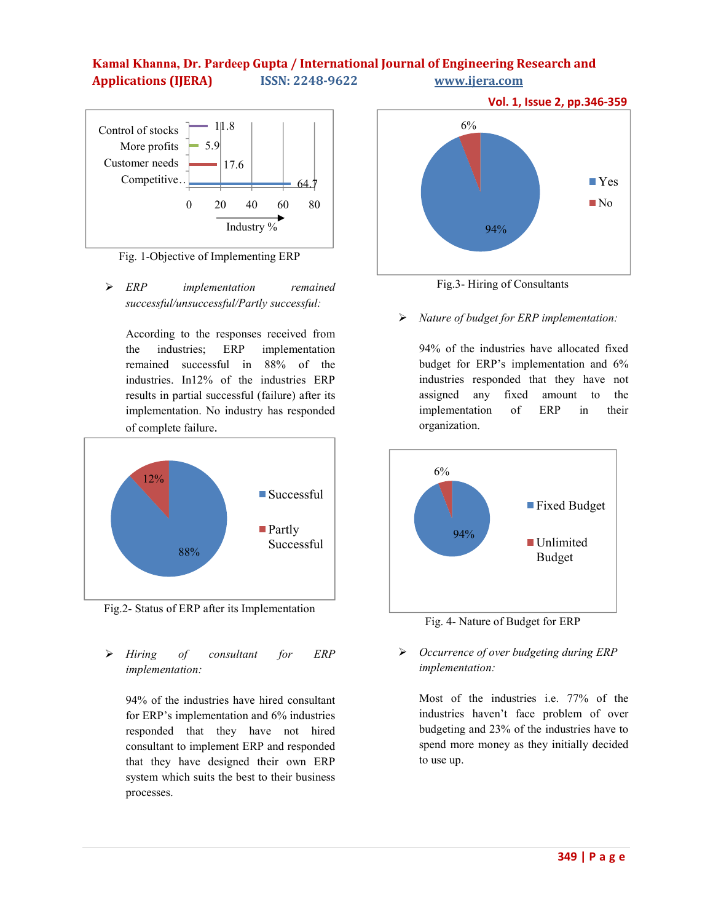

Fig. 1-Objective of Implementing ERP

Ø *ERP implementation remained successful/unsuccessful/Partly successful:* 

According to the responses received from the industries; ERP implementation remained successful in 88% of the industries. In12% of the industries ERP results in partial successful (failure) after its implementation. No industry has responded of complete failure.



Fig.2- Status of ERP after its Implementation

Ø *Hiring of consultant for ERP implementation:* 

94% of the industries have hired consultant for ERP's implementation and 6% industries responded that they have not hired consultant to implement ERP and responded that they have designed their own ERP system which suits the best to their business processes.



Fig.3- Hiring of Consultants

Ø *Nature of budget for ERP implementation:* 

94% of the industries have allocated fixed budget for ERP's implementation and 6% industries responded that they have not assigned any fixed amount to the implementation of ERP in their organization.



Fig. 4- Nature of Budget for ERP

# Ø *Occurrence of over budgeting during ERP implementation:*

Most of the industries i.e. 77% of the industries haven't face problem of over budgeting and 23% of the industries have to spend more money as they initially decided to use up.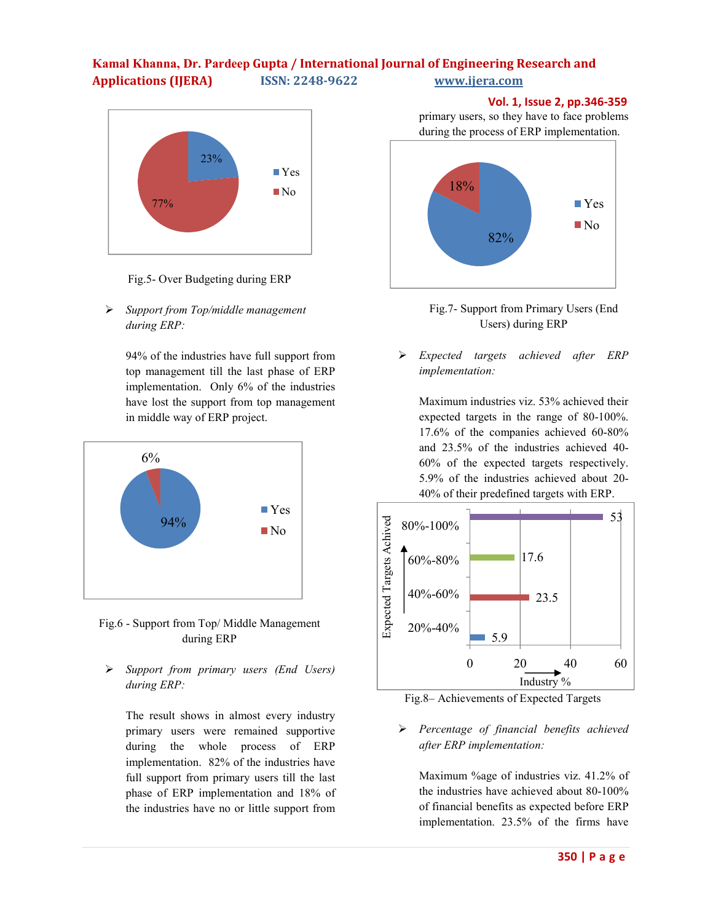

Fig.5- Over Budgeting during ERP

Ø *Support from Top/middle management during ERP:* 

> 94% of the industries have full support from top management till the last phase of ERP implementation. Only 6% of the industries have lost the support from top management in middle way of ERP project.





Ø *Support from primary users (End Users) during ERP:* 

The result shows in almost every industry primary users were remained supportive during the whole process of ERP implementation. 82% of the industries have full support from primary users till the last phase of ERP implementation and 18% of the industries have no or little support from

 **Vol. 1, Issue 2, pp.346-359** primary users, so they have to face problems during the process of ERP implementation.



Fig.7- Support from Primary Users (End Users) during ERP

Ø *Expected targets achieved after ERP implementation:* 

Maximum industries viz. 53% achieved their expected targets in the range of 80-100%. 17.6% of the companies achieved 60-80% and 23.5% of the industries achieved 40- 60% of the expected targets respectively. 5.9% of the industries achieved about 20- 40% of their predefined targets with ERP.



Fig.8– Achievements of Expected Targets

Ø *Percentage of financial benefits achieved after ERP implementation:* 

Maximum %age of industries viz. 41.2% of the industries have achieved about 80-100% of financial benefits as expected before ERP implementation. 23.5% of the firms have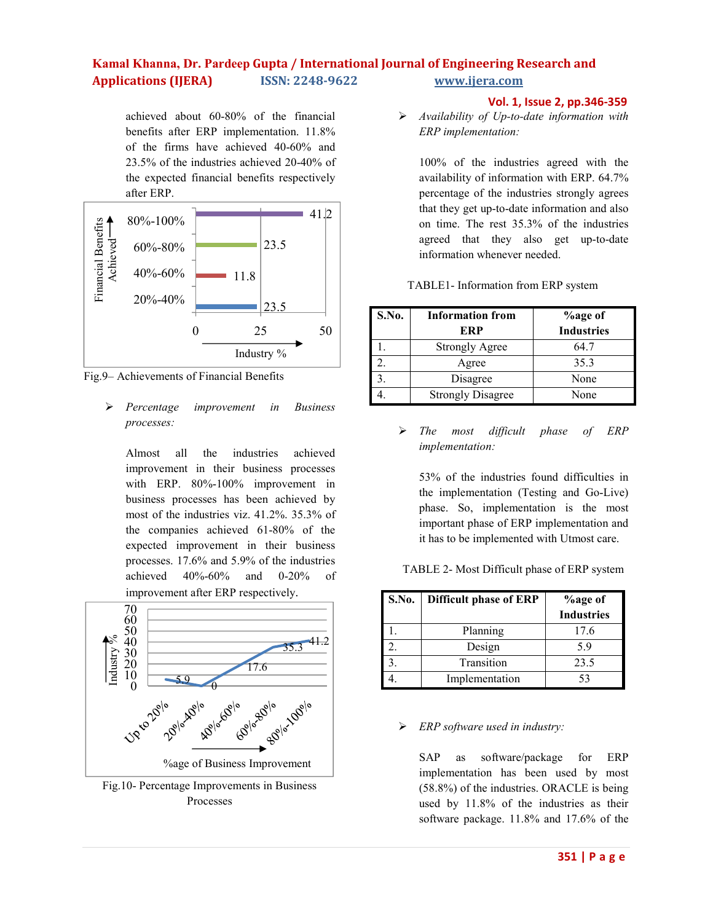achieved about 60-80% of the financial benefits after ERP implementation. 11.8% of the firms have achieved 40-60% and 23.5% of the industries achieved 20-40% of the expected financial benefits respectively after ERP.



Fig.9– Achievements of Financial Benefits

Ø *Percentage improvement in Business processes:* 

Almost all the industries achieved improvement in their business processes with ERP. 80%-100% improvement in business processes has been achieved by most of the industries viz. 41.2%. 35.3% of the companies achieved 61-80% of the expected improvement in their business processes. 17.6% and 5.9% of the industries achieved 40%-60% and 0-20% of improvement after ERP respectively.



Fig.10- Percentage Improvements in Business Processes

### **Vol. 1, Issue 2, pp.346-359**

Ø *Availability of Up-to-date information with ERP implementation:* 

100% of the industries agreed with the availability of information with ERP. 64.7% percentage of the industries strongly agrees that they get up-to-date information and also on time. The rest 35.3% of the industries agreed that they also get up-to-date information whenever needed.

| TABLE1- Information from ERP system |
|-------------------------------------|
|-------------------------------------|

| S.No. | <b>Information from</b>  | <b>%age of</b>    |
|-------|--------------------------|-------------------|
|       | ERP                      | <b>Industries</b> |
|       | <b>Strongly Agree</b>    | 64.7              |
|       | Agree                    | 35.3              |
|       | Disagree                 | None              |
|       | <b>Strongly Disagree</b> | None              |

Ø *The most difficult phase of ERP implementation:* 

53% of the industries found difficulties in the implementation (Testing and Go-Live) phase. So, implementation is the most important phase of ERP implementation and it has to be implemented with Utmost care.

TABLE 2- Most Difficult phase of ERP system

| S.No. | <b>Difficult phase of ERP</b> | <b>%age of</b>    |  |  |
|-------|-------------------------------|-------------------|--|--|
|       |                               | <b>Industries</b> |  |  |
|       | Planning                      | 17.6              |  |  |
|       | Design                        | 59                |  |  |
|       | Transition                    | 23.5              |  |  |
|       | Implementation                | 53                |  |  |

### Ø *ERP software used in industry:*

SAP as software/package for ERP implementation has been used by most (58.8%) of the industries. ORACLE is being used by 11.8% of the industries as their software package. 11.8% and 17.6% of the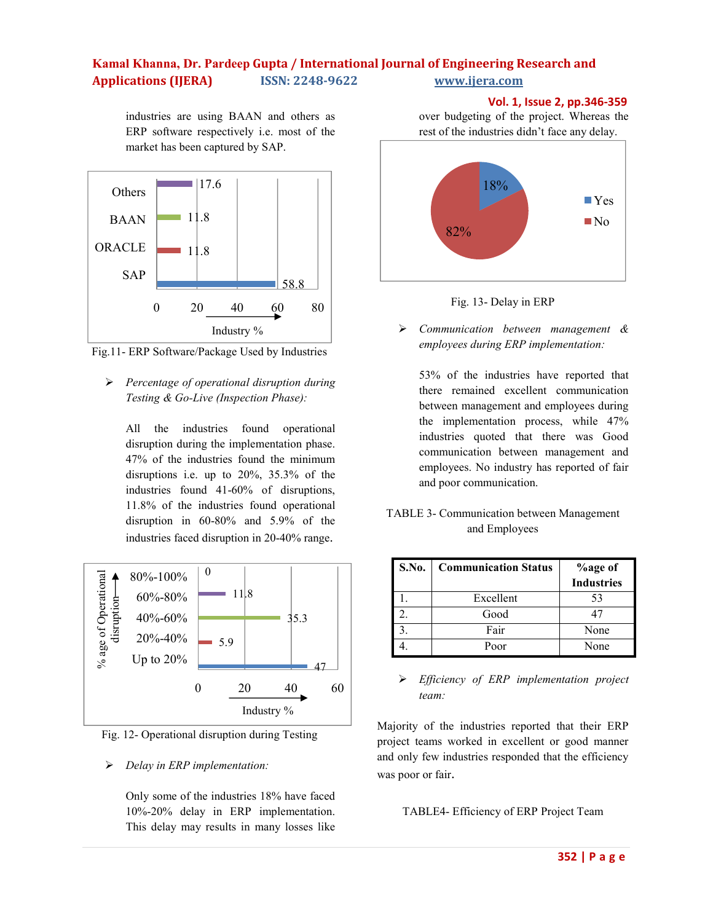industries are using BAAN and others as ERP software respectively i.e. most of the market has been captured by SAP.



Fig.11- ERP Software/Package Used by Industries

Ø *Percentage of operational disruption during Testing & Go-Live (Inspection Phase):* 

All the industries found operational disruption during the implementation phase. 47% of the industries found the minimum disruptions i.e. up to 20%, 35.3% of the industries found 41-60% of disruptions, 11.8% of the industries found operational disruption in 60-80% and 5.9% of the industries faced disruption in 20-40% range.



Fig. 12- Operational disruption during Testing

### Ø *Delay in ERP implementation:*

Only some of the industries 18% have faced 10%-20% delay in ERP implementation. This delay may results in many losses like

 **Vol. 1, Issue 2, pp.346-359** over budgeting of the project. Whereas the rest of the industries didn't face any delay.





Ø *Communication between management & employees during ERP implementation:* 

53% of the industries have reported that there remained excellent communication between management and employees during the implementation process, while 47% industries quoted that there was Good communication between management and employees. No industry has reported of fair and poor communication.

# TABLE 3- Communication between Management and Employees

| <b>S.No.</b> | <b>Communication Status</b> | <b>%age of</b>    |
|--------------|-----------------------------|-------------------|
|              |                             | <b>Industries</b> |
|              | Excellent                   | 53                |
|              | Good                        |                   |
|              | Fair                        | None              |
|              | Poor                        | None              |

# Ø *Efficiency of ERP implementation project team:*

Majority of the industries reported that their ERP project teams worked in excellent or good manner and only few industries responded that the efficiency was poor or fair.

TABLE4- Efficiency of ERP Project Team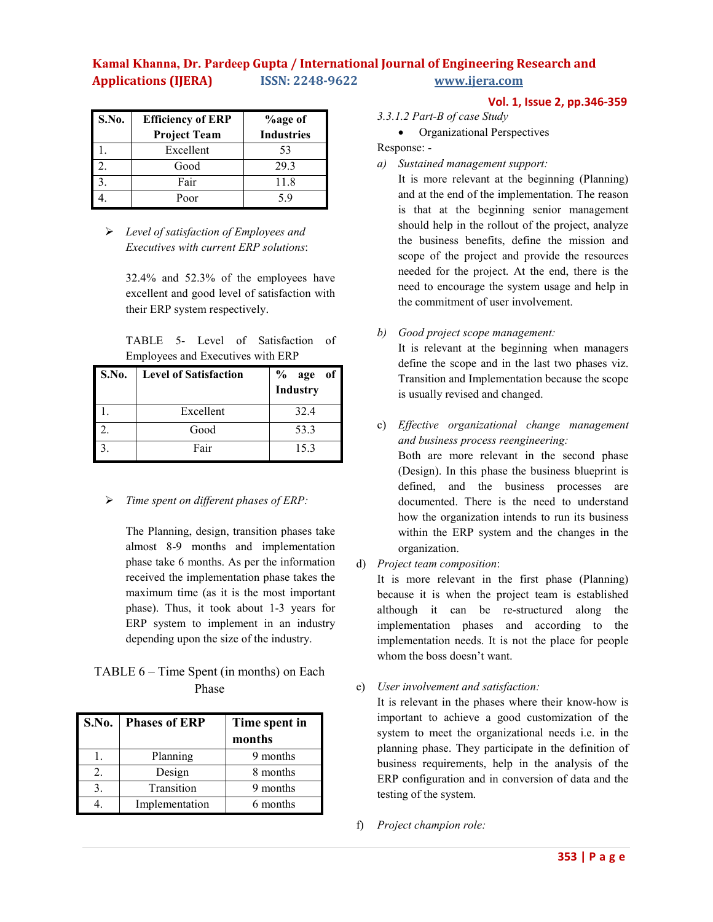| <b>S.No.</b> | <b>Efficiency of ERP</b> | <b>%age of</b>    |
|--------------|--------------------------|-------------------|
|              | <b>Project Team</b>      | <b>Industries</b> |
|              | Excellent                | 53                |
|              | Good                     | 29.3              |
|              | Fair                     | 11.8              |
|              | Poor                     | 59                |

Ø *Level of satisfaction of Employees and Executives with current ERP solutions*:

> 32.4% and 52.3% of the employees have excellent and good level of satisfaction with their ERP system respectively.

> TABLE 5- Level of Satisfaction of Employees and Executives with ERP

| S.No. | <b>Level of Satisfaction</b> | % age<br>Industry<br>- of |
|-------|------------------------------|---------------------------|
|       | Excellent                    | 32.4                      |
|       | Good                         | 53.3                      |
|       | Fair                         | 15.3                      |

Ø *Time spent on different phases of ERP:* 

The Planning, design, transition phases take almost 8-9 months and implementation phase take 6 months. As per the information received the implementation phase takes the maximum time (as it is the most important phase). Thus, it took about 1-3 years for ERP system to implement in an industry depending upon the size of the industry.

# TABLE 6 – Time Spent (in months) on Each Phase

| <b>S.No.</b>     | <b>Phases of ERP</b> | Time spent in<br>months |
|------------------|----------------------|-------------------------|
|                  | Planning             | 9 months                |
| $\overline{2}$ . | Design               | 8 months                |
| 3.               | Transition           | 9 months                |
|                  | Implementation       | 6 months                |

# **Vol. 1, Issue 2, pp.346-359**

*3.3.1.2 Part-B of case Study*

• Organizational Perspectives

Response: -

*a) Sustained management support:* 

It is more relevant at the beginning (Planning) and at the end of the implementation. The reason is that at the beginning senior management should help in the rollout of the project, analyze the business benefits, define the mission and scope of the project and provide the resources needed for the project. At the end, there is the need to encourage the system usage and help in the commitment of user involvement.

# *b) Good project scope management:*

It is relevant at the beginning when managers define the scope and in the last two phases viz. Transition and Implementation because the scope is usually revised and changed.

c) *Effective organizational change management and business process reengineering:*

Both are more relevant in the second phase (Design). In this phase the business blueprint is defined, and the business processes are documented. There is the need to understand how the organization intends to run its business within the ERP system and the changes in the organization.

d) *Project team composition*:

It is more relevant in the first phase (Planning) because it is when the project team is established although it can be re-structured along the implementation phases and according to the implementation needs. It is not the place for people whom the boss doesn't want.

# e) *User involvement and satisfaction:*

It is relevant in the phases where their know-how is important to achieve a good customization of the system to meet the organizational needs i.e. in the planning phase. They participate in the definition of business requirements, help in the analysis of the ERP configuration and in conversion of data and the testing of the system.

f) *Project champion role:*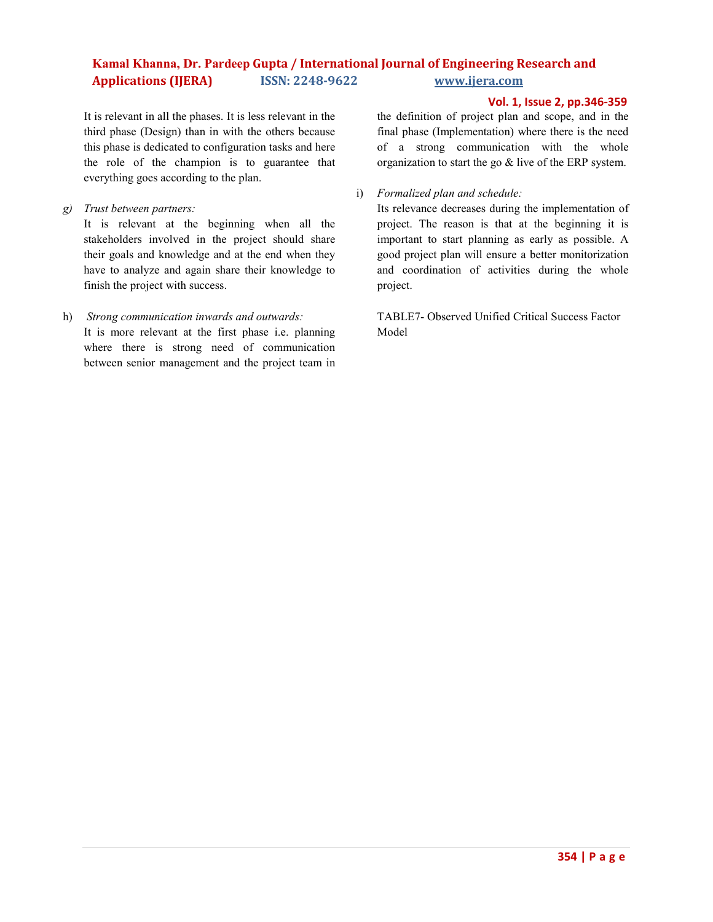**Vol. 1, Issue 2, pp.346-359**

It is relevant in all the phases. It is less relevant in the third phase (Design) than in with the others because this phase is dedicated to configuration tasks and here the role of the champion is to guarantee that everything goes according to the plan.

*g) Trust between partners:* 

It is relevant at the beginning when all the stakeholders involved in the project should share their goals and knowledge and at the end when they have to analyze and again share their knowledge to finish the project with success.

h) *Strong communication inwards and outwards:*

It is more relevant at the first phase i.e. planning where there is strong need of communication between senior management and the project team in the definition of project plan and scope, and in the final phase (Implementation) where there is the need of a strong communication with the whole organization to start the go & live of the ERP system.

i) *Formalized plan and schedule:*

Its relevance decreases during the implementation of project. The reason is that at the beginning it is important to start planning as early as possible. A good project plan will ensure a better monitorization and coordination of activities during the whole project.

TABLE7- Observed Unified Critical Success Factor Model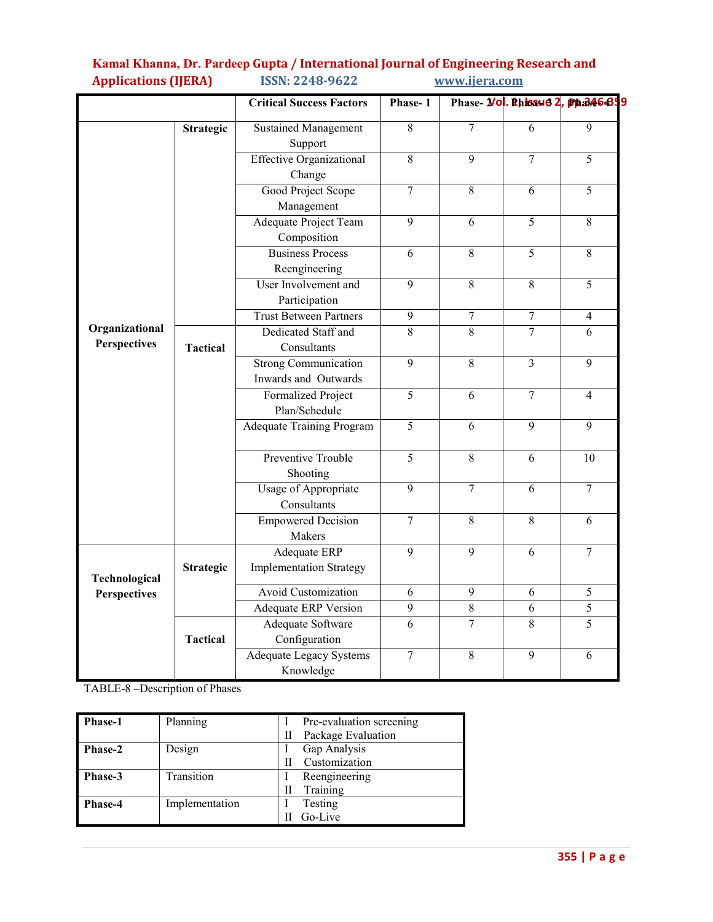|                                       |                  | <b>Critical Success Factors</b>                                        | Phase-1        |                  |                | Phase- <i>Vol. Phissus 2</i> , pp.346439 |
|---------------------------------------|------------------|------------------------------------------------------------------------|----------------|------------------|----------------|------------------------------------------|
|                                       | <b>Strategic</b> | <b>Sustained Management</b><br>Support                                 | 8              | $\overline{7}$   | 6              | 9                                        |
|                                       |                  | <b>Effective Organizational</b><br>Change                              | 8              | 9                | $\overline{7}$ | 5                                        |
|                                       |                  | Good Project Scope<br>Management                                       | $\overline{7}$ | 8                | 6              | 5                                        |
|                                       |                  | Adequate Project Team<br>Composition                                   | $\overline{9}$ | 6                | $\overline{5}$ | 8                                        |
|                                       |                  | <b>Business Process</b><br>Reengineering                               | 6              | $\overline{8}$   | $\overline{5}$ | 8                                        |
|                                       |                  | User Involvement and<br>Participation                                  | 9              | 8                | 8              | 5                                        |
|                                       |                  | <b>Trust Between Partners</b>                                          | 9              | $\boldsymbol{7}$ | $\overline{7}$ | $\overline{4}$                           |
| Organizational<br><b>Perspectives</b> | <b>Tactical</b>  | Dedicated Staff and<br>$\overline{8}$<br>$\overline{8}$<br>Consultants |                |                  | $\overline{7}$ | 6                                        |
|                                       |                  | <b>Strong Communication</b><br>Inwards and Outwards                    | $\overline{9}$ | $\overline{8}$   | $\overline{3}$ | 9                                        |
|                                       |                  | <b>Formalized Project</b><br>Plan/Schedule                             | $\overline{5}$ | 6                | $\overline{7}$ | $\overline{4}$                           |
|                                       |                  | <b>Adequate Training Program</b>                                       | $\overline{5}$ | 6                | 9              | 9                                        |
|                                       |                  | Preventive Trouble<br>Shooting                                         | $\overline{5}$ | 8                | 6              | 10                                       |
|                                       |                  | Usage of Appropriate<br>Consultants                                    | 9              | $\tau$           | 6              | 7                                        |
|                                       |                  | <b>Empowered Decision</b><br>Makers                                    | $\overline{7}$ | $\overline{8}$   | $\overline{8}$ | 6                                        |
| Technological                         | <b>Strategic</b> | <b>Adequate ERP</b><br><b>Implementation Strategy</b>                  | 9              | $\overline{9}$   | 6              | 7                                        |
| <b>Perspectives</b>                   |                  | <b>Avoid Customization</b>                                             | 6              | $\overline{9}$   | 6              | $\overline{5}$                           |
|                                       |                  | Adequate ERP Version                                                   | $\overline{9}$ | $\overline{8}$   | 6              | $\overline{5}$                           |
|                                       | <b>Tactical</b>  | <b>Adequate Software</b><br>Configuration                              | $\overline{6}$ | $\overline{7}$   | $\overline{8}$ | $\overline{5}$                           |
|                                       |                  | <b>Adequate Legacy Systems</b><br>Knowledge                            | $\overline{7}$ | $\overline{8}$   | $\overline{9}$ | 6                                        |

TABLE-8 –Description of Phases

| <b>Phase-1</b> | Planning       | Pre-evaluation screening |
|----------------|----------------|--------------------------|
|                |                | Package Evaluation       |
| <b>Phase-2</b> | Design         | Gap Analysis             |
|                |                | Customization            |
| Phase-3        | Transition     | Reengineering            |
|                |                | Training                 |
| Phase-4        | Implementation | Testing                  |
|                |                | Go-Live                  |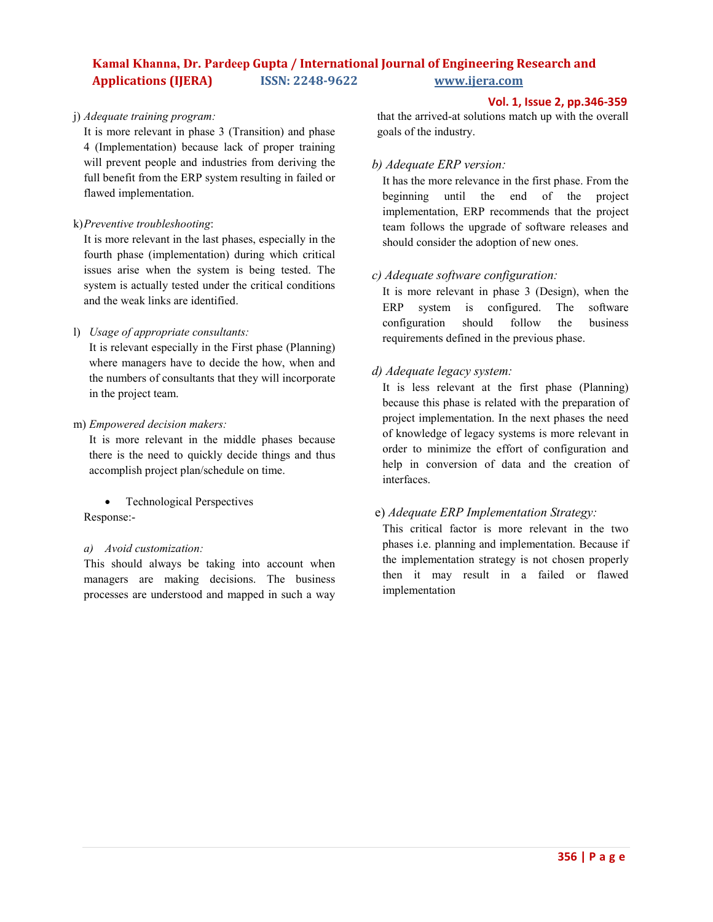# j) *Adequate training program:*

It is more relevant in phase 3 (Transition) and phase 4 (Implementation) because lack of proper training will prevent people and industries from deriving the full benefit from the ERP system resulting in failed or flawed implementation.

k)*Preventive troubleshooting*:

It is more relevant in the last phases, especially in the fourth phase (implementation) during which critical issues arise when the system is being tested. The system is actually tested under the critical conditions and the weak links are identified.

l) *Usage of appropriate consultants:*

It is relevant especially in the First phase (Planning) where managers have to decide the how, when and the numbers of consultants that they will incorporate in the project team.

m) *Empowered decision makers:*

It is more relevant in the middle phases because there is the need to quickly decide things and thus accomplish project plan/schedule on time.

• Technological Perspectives Response:-

### *a) Avoid customization:*

This should always be taking into account when managers are making decisions. The business processes are understood and mapped in such a way

#### **Vol. 1, Issue 2, pp.346-359**

that the arrived-at solutions match up with the overall goals of the industry.

### *b) Adequate ERP version:*

It has the more relevance in the first phase. From the beginning until the end of the project implementation, ERP recommends that the project team follows the upgrade of software releases and should consider the adoption of new ones.

# *c) Adequate software configuration:*

It is more relevant in phase 3 (Design), when the ERP system is configured. The software configuration should follow the business requirements defined in the previous phase.

# *d) Adequate legacy system:*

It is less relevant at the first phase (Planning) because this phase is related with the preparation of project implementation. In the next phases the need of knowledge of legacy systems is more relevant in order to minimize the effort of configuration and help in conversion of data and the creation of interfaces.

# e) *Adequate ERP Implementation Strategy:*

This critical factor is more relevant in the two phases i.e. planning and implementation. Because if the implementation strategy is not chosen properly then it may result in a failed or flawed implementation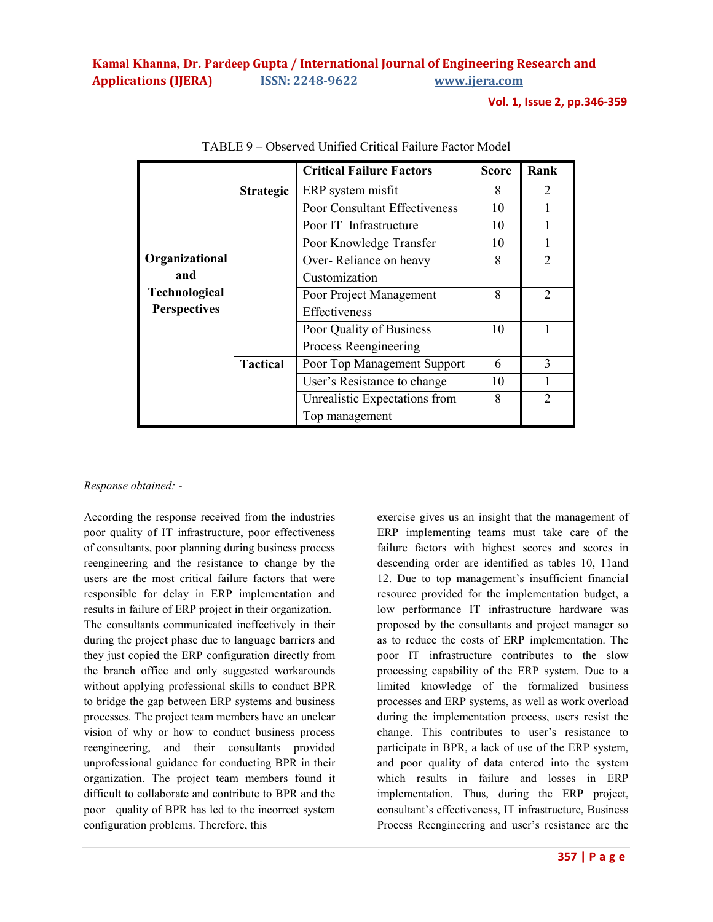**Vol. 1, Issue 2, pp.346-359**

|                      |                  | <b>Critical Failure Factors</b> | <b>Score</b> | Rank           |
|----------------------|------------------|---------------------------------|--------------|----------------|
|                      | <b>Strategic</b> | ERP system misfit               | 8            | 2              |
|                      |                  | Poor Consultant Effectiveness   | 10           |                |
|                      |                  | Poor IT Infrastructure          | 10           |                |
|                      |                  | Poor Knowledge Transfer         | 10           |                |
| Organizational       |                  | Over-Reliance on heavy          | 8            | $\overline{2}$ |
| and                  |                  | Customization                   |              |                |
| <b>Technological</b> |                  | Poor Project Management         | 8            | 2              |
| <b>Perspectives</b>  |                  | Effectiveness                   |              |                |
|                      |                  | Poor Quality of Business        | 10           |                |
|                      |                  | Process Reengineering           |              |                |
|                      | <b>Tactical</b>  | Poor Top Management Support     | 6            | 3              |
|                      |                  | User's Resistance to change     | 10           |                |
|                      |                  | Unrealistic Expectations from   | 8            | $\overline{2}$ |
|                      |                  | Top management                  |              |                |

TABLE 9 – Observed Unified Critical Failure Factor Model

### *Response obtained: -*

According the response received from the industries poor quality of IT infrastructure, poor effectiveness of consultants, poor planning during business process reengineering and the resistance to change by the users are the most critical failure factors that were responsible for delay in ERP implementation and results in failure of ERP project in their organization. The consultants communicated ineffectively in their during the project phase due to language barriers and they just copied the ERP configuration directly from the branch office and only suggested workarounds without applying professional skills to conduct BPR to bridge the gap between ERP systems and business processes. The project team members have an unclear vision of why or how to conduct business process reengineering, and their consultants provided unprofessional guidance for conducting BPR in their organization. The project team members found it difficult to collaborate and contribute to BPR and the poor quality of BPR has led to the incorrect system configuration problems. Therefore, this

exercise gives us an insight that the management of ERP implementing teams must take care of the failure factors with highest scores and scores in descending order are identified as tables 10, 11and 12. Due to top management's insufficient financial resource provided for the implementation budget, a low performance IT infrastructure hardware was proposed by the consultants and project manager so as to reduce the costs of ERP implementation. The poor IT infrastructure contributes to the slow processing capability of the ERP system. Due to a limited knowledge of the formalized business processes and ERP systems, as well as work overload during the implementation process, users resist the change. This contributes to user's resistance to participate in BPR, a lack of use of the ERP system, and poor quality of data entered into the system which results in failure and losses in ERP implementation. Thus, during the ERP project, consultant's effectiveness, IT infrastructure, Business Process Reengineering and user's resistance are the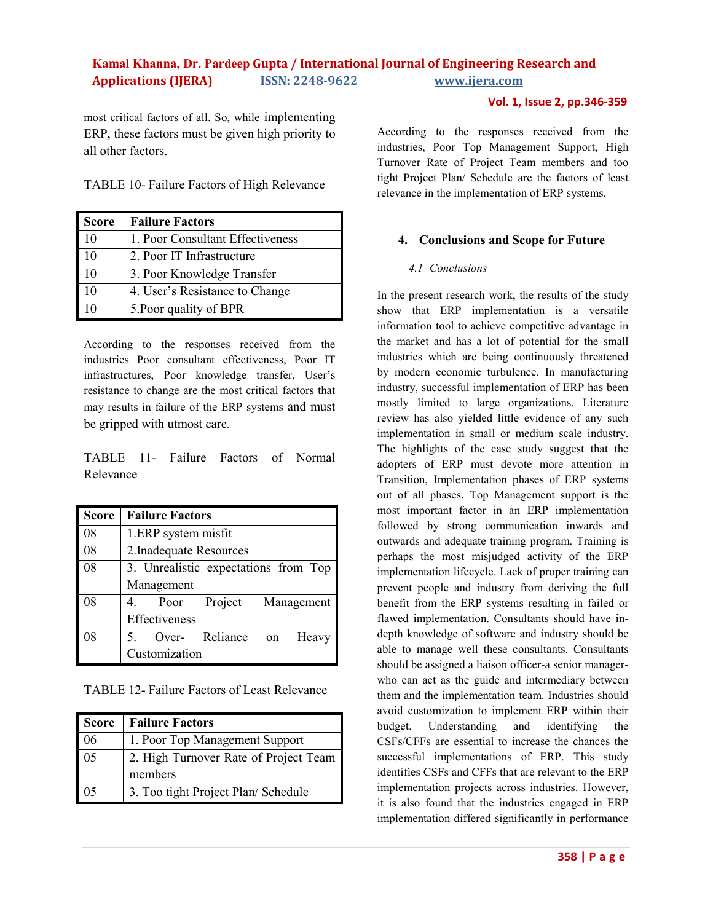**Vol. 1, Issue 2, pp.346-359**

most critical factors of all. So, while implementing ERP, these factors must be given high priority to all other factors.

TABLE 10- Failure Factors of High Relevance

| <b>Score</b> | <b>Failure Factors</b>           |
|--------------|----------------------------------|
| 10           | 1. Poor Consultant Effectiveness |
| 10           | 2. Poor IT Infrastructure        |
| 10           | 3. Poor Knowledge Transfer       |
| 10           | 4. User's Resistance to Change   |
| 10           | 5. Poor quality of BPR           |

According to the responses received from the industries Poor consultant effectiveness, Poor IT infrastructures, Poor knowledge transfer, User's resistance to change are the most critical factors that may results in failure of the ERP systems and must be gripped with utmost care.

TABLE 11- Failure Factors of Normal Relevance

| <b>Score</b> | <b>Failure Factors</b>               |
|--------------|--------------------------------------|
| 08           | 1.ERP system misfit                  |
| 08           | 2. Inadequate Resources              |
| 08           | 3. Unrealistic expectations from Top |
|              | Management                           |
| 08           | Poor Project Management              |
|              | Effectiveness                        |
| 08           | Over- Reliance<br>Heavy<br>on        |
|              | Customization                        |

TABLE 12- Failure Factors of Least Relevance

| <b>Score</b> | <b>Failure Factors</b>                |
|--------------|---------------------------------------|
| 06           | 1. Poor Top Management Support        |
| 05           | 2. High Turnover Rate of Project Team |
|              | members                               |
| 05           | 3. Too tight Project Plan/ Schedule   |

According to the responses received from the industries, Poor Top Management Support, High Turnover Rate of Project Team members and too tight Project Plan/ Schedule are the factors of least relevance in the implementation of ERP systems.

# **4. Conclusions and Scope for Future**

# *4.1 Conclusions*

In the present research work, the results of the study show that ERP implementation is a versatile information tool to achieve competitive advantage in the market and has a lot of potential for the small industries which are being continuously threatened by modern economic turbulence. In manufacturing industry, successful implementation of ERP has been mostly limited to large organizations. Literature review has also yielded little evidence of any such implementation in small or medium scale industry. The highlights of the case study suggest that the adopters of ERP must devote more attention in Transition, Implementation phases of ERP systems out of all phases. Top Management support is the most important factor in an ERP implementation followed by strong communication inwards and outwards and adequate training program. Training is perhaps the most misjudged activity of the ERP implementation lifecycle. Lack of proper training can prevent people and industry from deriving the full benefit from the ERP systems resulting in failed or flawed implementation. Consultants should have indepth knowledge of software and industry should be able to manage well these consultants. Consultants should be assigned a liaison officer-a senior managerwho can act as the guide and intermediary between them and the implementation team. Industries should avoid customization to implement ERP within their budget. Understanding and identifying the CSFs/CFFs are essential to increase the chances the successful implementations of ERP. This study identifies CSFs and CFFs that are relevant to the ERP implementation projects across industries. However, it is also found that the industries engaged in ERP implementation differed significantly in performance